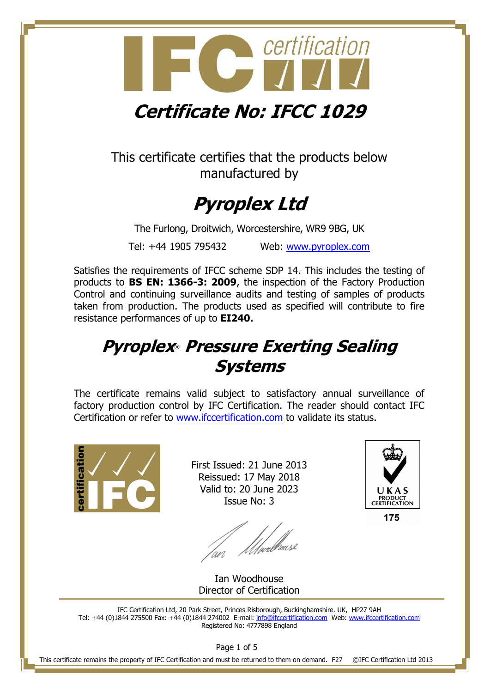

This certificate certifies that the products below manufactured by

# **Pyroplex Ltd**

The Furlong, Droitwich, Worcestershire, WR9 9BG, UK

Tel: +44 1905 795432 Web: [www.pyroplex.com](http://www.pyroplex.com/)

Satisfies the requirements of IFCC scheme SDP 14. This includes the testing of products to **BS EN: 1366-3: 2009**, the inspection of the Factory Production Control and continuing surveillance audits and testing of samples of products taken from production. The products used as specified will contribute to fire resistance performances of up to **EI240.**

# **Pyroplex**® **Pressure Exerting Sealing Systems**

The certificate remains valid subject to satisfactory annual surveillance of factory production control by IFC Certification. The reader should contact IFC Certification or refer to [www.ifccertification.com](http://www.ifccertification.com/) to validate its status.



First Issued: 21 June 2013 Reissued: 17 May 2018 Valid to: 20 June 2023 Issue No: 3

*///ve*r/house



175

Ian Woodhouse Director of Certification

IFC Certification Ltd, 20 Park Street, Princes Risborough, Buckinghamshire. UK, HP27 9AH Tel: +44 (0)1844 275500 Fax: +44 (0)1844 274002 E-mail[: info@ifccertification.com](mailto:info@ifccertification.com) Web: [www.ifccertification.com](http://www.ifccertification.com/) Registered No: 4777898 England

Page 1 of 5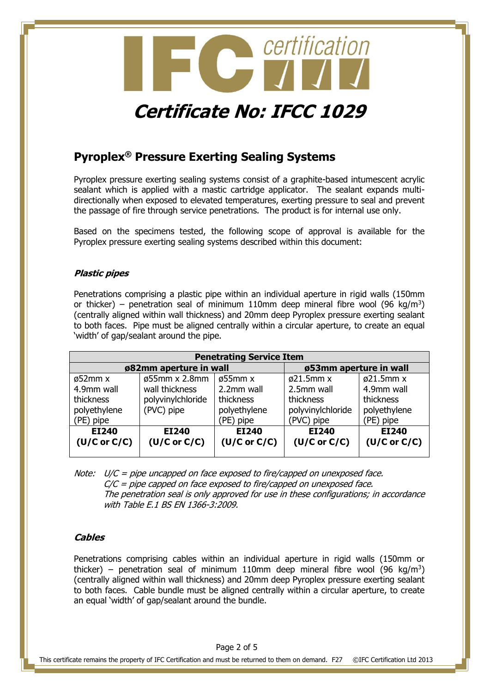

# **Pyroplex® Pressure Exerting Sealing Systems**

Pyroplex pressure exerting sealing systems consist of a graphite-based intumescent acrylic sealant which is applied with a mastic cartridge applicator. The sealant expands multidirectionally when exposed to elevated temperatures, exerting pressure to seal and prevent the passage of fire through service penetrations. The product is for internal use only.

Based on the specimens tested, the following scope of approval is available for the Pyroplex pressure exerting sealing systems described within this document:

#### **Plastic pipes**

Penetrations comprising a plastic pipe within an individual aperture in rigid walls (150mm or thicker) – penetration seal of minimum 110mm deep mineral fibre wool (96 kg/m<sup>3</sup>) (centrally aligned within wall thickness) and 20mm deep Pyroplex pressure exerting sealant to both faces. Pipe must be aligned centrally within a circular aperture, to create an equal 'width' of gap/sealant around the pipe.

| <b>Penetrating Service Item</b> |                        |                      |                        |                        |  |
|---------------------------------|------------------------|----------------------|------------------------|------------------------|--|
|                                 | ø82mm aperture in wall |                      |                        | ø53mm aperture in wall |  |
| $\varnothing$ 52mm x            | ø55mm x 2.8mm          | $\varnothing$ 55mm x | $\varnothing$ 21.5mm x | $\varnothing$ 21.5mm x |  |
| 4.9mm wall                      | wall thickness         | 2.2mm wall           | 2.5mm wall             | 4.9mm wall             |  |
| thickness                       | polyvinylchloride      | thickness            | thickness              | thickness              |  |
| polyethylene                    | (PVC) pipe             | polyethylene         | polyvinylchloride      | polyethylene           |  |
| (PE) pipe                       |                        | (PE) pipe            | (PVC) pipe             | (PE) pipe              |  |
| EI240                           | EI240                  | EI240                | EI240                  | EI240                  |  |
| $(U/C$ or $C/C$ )               | $(U/C$ or $C/C$ )      | $(U/C$ or $C/C$ )    | $(U/C$ or $C/C$ )      | $(U/C$ or $C/C$ )      |  |
|                                 |                        |                      |                        |                        |  |

| Note: $U/C =$ pipe uncapped on face exposed to fire/capped on unexposed face.        |
|--------------------------------------------------------------------------------------|
| $C/C$ = pipe capped on face exposed to fire/capped on unexposed face.                |
| The penetration seal is only approved for use in these configurations; in accordance |
| with Table E.1 BS EN 1366-3:2009.                                                    |

#### **Cables**

Penetrations comprising cables within an individual aperture in rigid walls (150mm or thicker) – penetration seal of minimum 110mm deep mineral fibre wool (96 kg/m<sup>3</sup>) (centrally aligned within wall thickness) and 20mm deep Pyroplex pressure exerting sealant to both faces. Cable bundle must be aligned centrally within a circular aperture, to create an equal 'width' of gap/sealant around the bundle.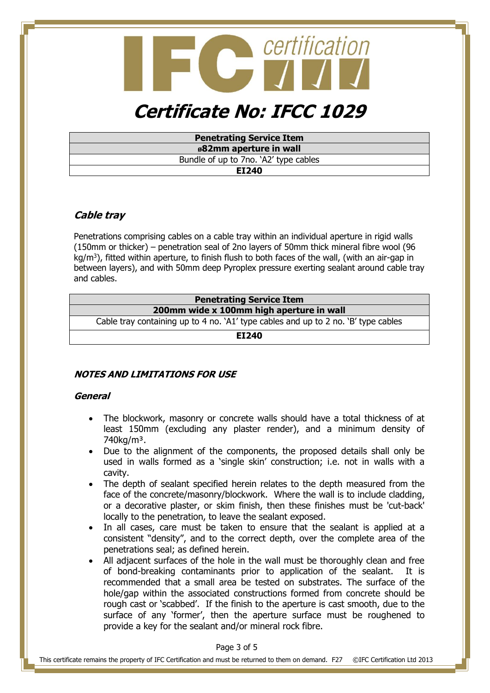

| <b>Penetrating Service Item</b>       |
|---------------------------------------|
| ø82mm aperture in wall                |
| Bundle of up to 7no. `A2' type cables |
| EI240                                 |

## **Cable tray**

Penetrations comprising cables on a cable tray within an individual aperture in rigid walls (150mm or thicker) – penetration seal of 2no layers of 50mm thick mineral fibre wool (96 kg/m<sup>3</sup>), fitted within aperture, to finish flush to both faces of the wall, (with an air-gap in between layers), and with 50mm deep Pyroplex pressure exerting sealant around cable tray and cables.

| <b>Penetrating Service Item</b>                                                    |  |  |  |
|------------------------------------------------------------------------------------|--|--|--|
| 200mm wide x 100mm high aperture in wall                                           |  |  |  |
| Cable tray containing up to 4 no. `A1' type cables and up to 2 no. `B' type cables |  |  |  |
| EI240                                                                              |  |  |  |

## **NOTES AND LIMITATIONS FOR USE**

#### **General**

- The blockwork, masonry or concrete walls should have a total thickness of at least 150mm (excluding any plaster render), and a minimum density of 740kg/m³.
- Due to the alignment of the components, the proposed details shall only be used in walls formed as a 'single skin' construction; i.e. not in walls with a cavity.
- The depth of sealant specified herein relates to the depth measured from the face of the concrete/masonry/blockwork. Where the wall is to include cladding, or a decorative plaster, or skim finish, then these finishes must be 'cut-back' locally to the penetration, to leave the sealant exposed.
- In all cases, care must be taken to ensure that the sealant is applied at a consistent "density", and to the correct depth, over the complete area of the penetrations seal; as defined herein.
- All adjacent surfaces of the hole in the wall must be thoroughly clean and free of bond-breaking contaminants prior to application of the sealant. It is recommended that a small area be tested on substrates. The surface of the hole/gap within the associated constructions formed from concrete should be rough cast or 'scabbed'. If the finish to the aperture is cast smooth, due to the surface of any 'former', then the aperture surface must be roughened to provide a key for the sealant and/or mineral rock fibre.

Page 3 of 5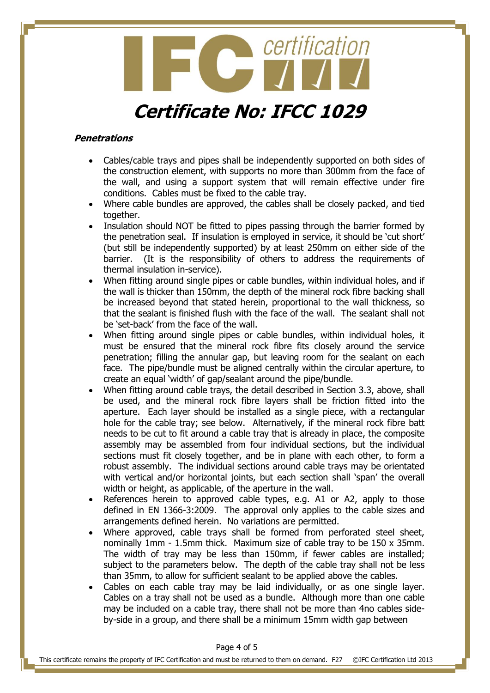

#### **Penetrations**

- Cables/cable trays and pipes shall be independently supported on both sides of the construction element, with supports no more than 300mm from the face of the wall, and using a support system that will remain effective under fire conditions. Cables must be fixed to the cable tray.
- Where cable bundles are approved, the cables shall be closely packed, and tied together.
- Insulation should NOT be fitted to pipes passing through the barrier formed by the penetration seal. If insulation is employed in service, it should be 'cut short' (but still be independently supported) by at least 250mm on either side of the barrier. (It is the responsibility of others to address the requirements of thermal insulation in-service).
- When fitting around single pipes or cable bundles, within individual holes, and if the wall is thicker than 150mm, the depth of the mineral rock fibre backing shall be increased beyond that stated herein, proportional to the wall thickness, so that the sealant is finished flush with the face of the wall. The sealant shall not be 'set-back' from the face of the wall.
- When fitting around single pipes or cable bundles, within individual holes, it must be ensured that the mineral rock fibre fits closely around the service penetration; filling the annular gap, but leaving room for the sealant on each face. The pipe/bundle must be aligned centrally within the circular aperture, to create an equal 'width' of gap/sealant around the pipe/bundle.
- When fitting around cable trays, the detail described in Section 3.3, above, shall be used, and the mineral rock fibre layers shall be friction fitted into the aperture. Each layer should be installed as a single piece, with a rectangular hole for the cable tray; see below. Alternatively, if the mineral rock fibre batt needs to be cut to fit around a cable tray that is already in place, the composite assembly may be assembled from four individual sections, but the individual sections must fit closely together, and be in plane with each other, to form a robust assembly. The individual sections around cable trays may be orientated with vertical and/or horizontal joints, but each section shall 'span' the overall width or height, as applicable, of the aperture in the wall.
- References herein to approved cable types, e.g. A1 or A2, apply to those defined in EN 1366-3:2009. The approval only applies to the cable sizes and arrangements defined herein. No variations are permitted.
- Where approved, cable trays shall be formed from perforated steel sheet, nominally 1mm - 1.5mm thick. Maximum size of cable tray to be 150 x 35mm. The width of tray may be less than 150mm, if fewer cables are installed; subject to the parameters below. The depth of the cable tray shall not be less than 35mm, to allow for sufficient sealant to be applied above the cables.
- Cables on each cable tray may be laid individually, or as one single layer. Cables on a tray shall not be used as a bundle. Although more than one cable may be included on a cable tray, there shall not be more than 4no cables sideby-side in a group, and there shall be a minimum 15mm width gap between